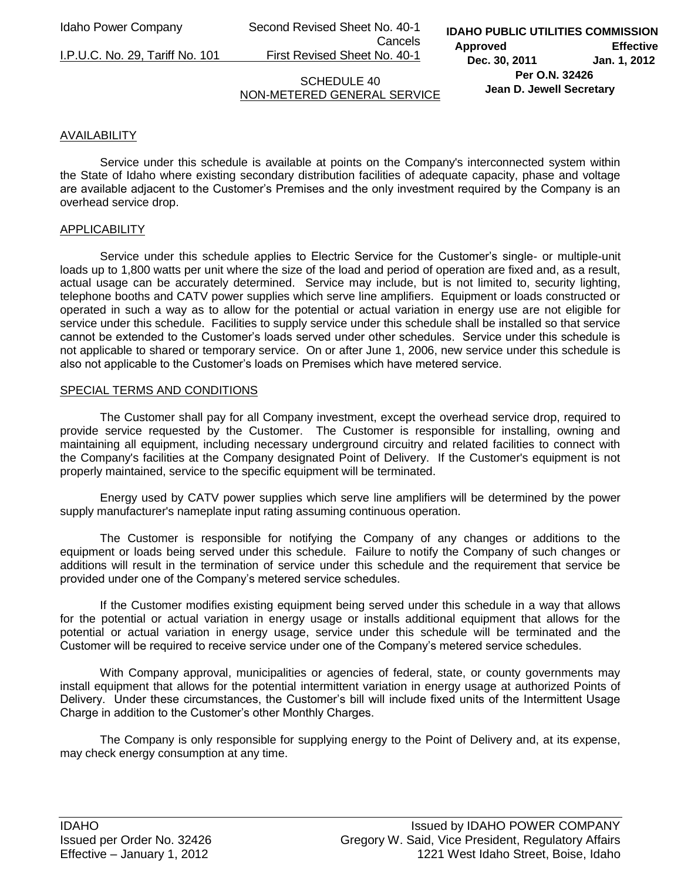Idaho Power Company Second Revised Sheet No. 40-1 Cancels

I.P.U.C. No. 29, Tariff No. 101 First Revised Sheet No. 40-1

**IDAHO PUBLIC UTILITIES COMMISSION Approved Effective Dec. 30, 2011 Jan. 1, 2012 Per O.N. 32426 Jean D. Jewell Secretary** 

### SCHEDULE 40 NON-METERED GENERAL SERVICE

### AVAILABILITY

 Service under this schedule is available at points on the Company's interconnected system within the State of Idaho where existing secondary distribution facilities of adequate capacity, phase and voltage are available adjacent to the Customer's Premises and the only investment required by the Company is an overhead service drop.

### **APPLICABILITY**

 Service under this schedule applies to Electric Service for the Customer's single- or multiple-unit loads up to 1,800 watts per unit where the size of the load and period of operation are fixed and, as a result, actual usage can be accurately determined. Service may include, but is not limited to, security lighting, telephone booths and CATV power supplies which serve line amplifiers. Equipment or loads constructed or operated in such a way as to allow for the potential or actual variation in energy use are not eligible for service under this schedule. Facilities to supply service under this schedule shall be installed so that service cannot be extended to the Customer's loads served under other schedules. Service under this schedule is not applicable to shared or temporary service. On or after June 1, 2006, new service under this schedule is also not applicable to the Customer's loads on Premises which have metered service.

### SPECIAL TERMS AND CONDITIONS

 The Customer shall pay for all Company investment, except the overhead service drop, required to provide service requested by the Customer. The Customer is responsible for installing, owning and maintaining all equipment, including necessary underground circuitry and related facilities to connect with the Company's facilities at the Company designated Point of Delivery. If the Customer's equipment is not properly maintained, service to the specific equipment will be terminated.

 Energy used by CATV power supplies which serve line amplifiers will be determined by the power supply manufacturer's nameplate input rating assuming continuous operation.

 The Customer is responsible for notifying the Company of any changes or additions to the equipment or loads being served under this schedule. Failure to notify the Company of such changes or additions will result in the termination of service under this schedule and the requirement that service be provided under one of the Company's metered service schedules.

 If the Customer modifies existing equipment being served under this schedule in a way that allows for the potential or actual variation in energy usage or installs additional equipment that allows for the potential or actual variation in energy usage, service under this schedule will be terminated and the Customer will be required to receive service under one of the Company's metered service schedules.

 With Company approval, municipalities or agencies of federal, state, or county governments may install equipment that allows for the potential intermittent variation in energy usage at authorized Points of Delivery. Under these circumstances, the Customer's bill will include fixed units of the Intermittent Usage Charge in addition to the Customer's other Monthly Charges.

 The Company is only responsible for supplying energy to the Point of Delivery and, at its expense, may check energy consumption at any time.